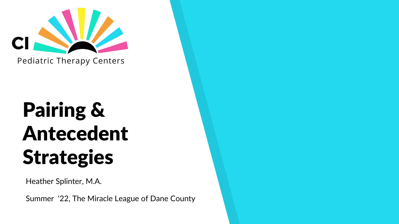

# Pairing & Antecedent **Strategies**

Heather Splinter, M.A.

Summer '22, The Miracle League of Dane County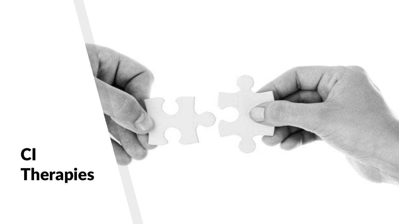# CI Therapies

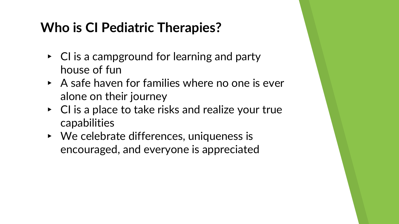## **Who is CI Pediatric Therapies?**

- $\triangleright$  CI is a campground for learning and party house of fun
- $\triangleright$  A safe haven for families where no one is ever alone on their journey
- $\triangleright$  CI is a place to take risks and realize your true capabilities
- ▸ We celebrate differences, uniqueness is encouraged, and everyone is appreciated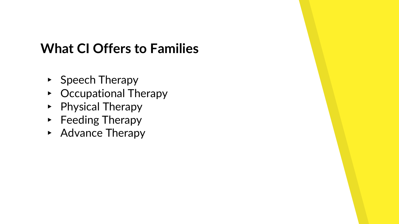#### **What CI Offers to Families**

- ▸ Speech Therapy
- ▸ Occupational Therapy
- ▸ Physical Therapy
- ▸ Feeding Therapy
- ▸ Advance Therapy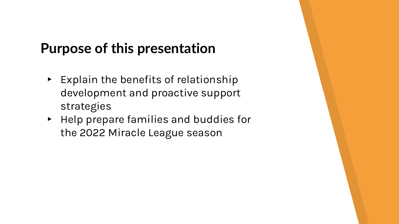## **Purpose of this presentation**

- ▸ Explain the benefits of relationship development and proactive support strategies
- ▸ Help prepare families and buddies for the 2022 Miracle League season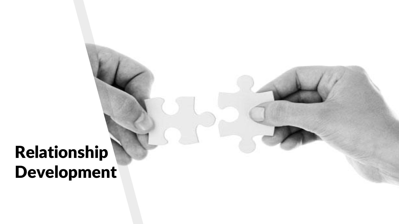# Relationship Development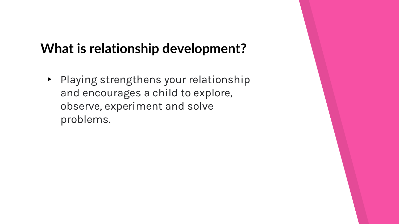#### **What is relationship development?**

▸ Playing strengthens your relationship and encourages a child to explore, observe, experiment and solve problems.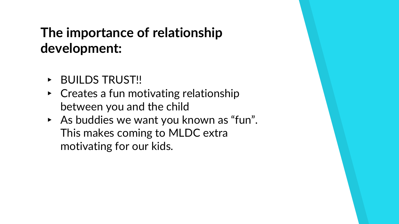# **The importance of relationship development:**

- ▶ BUILDS TRUST!!
- $\triangleright$  Creates a fun motivating relationship between you and the child
- ▸ As buddies we want you known as "fun". This makes coming to MLDC extra motivating for our kids.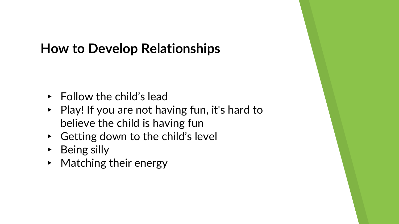#### **How to Develop Relationships**

- $\triangleright$  Follow the child's lead
- ▸ Play! If you are not having fun, it's hard to believe the child is having fun
- ▸ Getting down to the child's level
- ▸ Being silly
- ▸ Matching their energy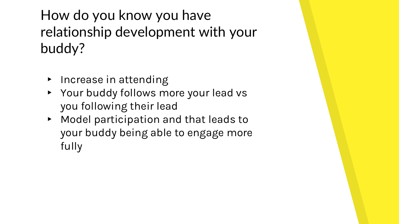How do you know you have relationship development with your buddy?

- ▸ Increase in attending
- ▸ Your buddy follows more your lead vs you following their lead
- ▸ Model participation and that leads to your buddy being able to engage more fully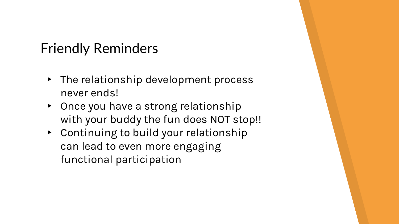# Friendly Reminders

- ▸ The relationship development process never ends!
- ▸ Once you have a strong relationship with your buddy the fun does NOT stop!!
- ▸ Continuing to build your relationship can lead to even more engaging functional participation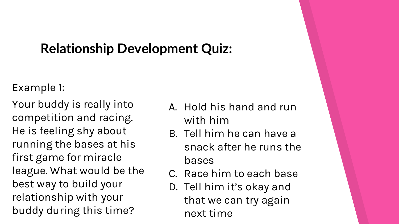#### **Relationship Development Quiz:**

#### Example 1:

Your buddy is really into competition and racing. He is feeling shy about running the bases at his first game for miracle league. What would be the best way to build your relationship with your buddy during this time?

- A. Hold his hand and run with him
- B. Tell him he can have a snack after he runs the bases
- C. Race him to each base
- D. Tell him it's okay and that we can try again next time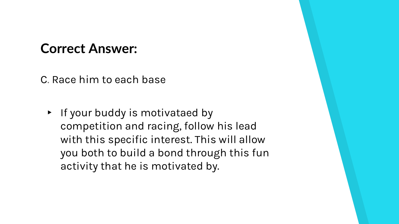#### **Correct Answer:**

C. Race him to each base

▸ If your buddy is motivataed by competition and racing, follow his lead with this specific interest. This will allow you both to build a bond through this fun activity that he is motivated by.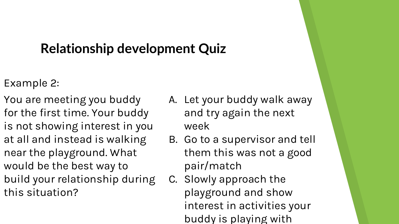#### **Relationship development Quiz**

- Example 2:
- You are meeting you buddy for the first time. Your buddy is not showing interest in you at all and instead is walking near the playground. What would be the best way to build your relationship during this situation?
- A. Let your buddy walk away and try again the next week
- B. Go to a supervisor and tell them this was not a good pair/match
- C. Slowly approach the playground and show interest in activities your buddy is playing with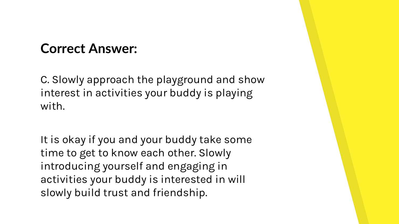#### **Correct Answer:**

C. Slowly approach the playground and show interest in activities your buddy is playing with.

It is okay if you and your buddy take some time to get to know each other. Slowly introducing yourself and engaging in activities your buddy is interested in will slowly build trust and friendship.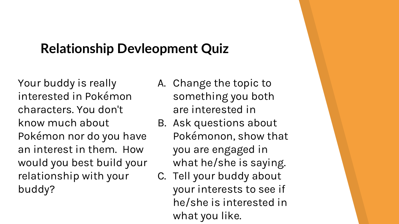## **Relationship Devleopment Quiz**

Your buddy is really interested in Pokémon characters. You don't know much about Pokémon nor do you have an interest in them. How would you best build your relationship with your buddy?

- A. Change the topic to something you both are interested in
- B. Ask questions about Pokémonon, show that you are engaged in what he/she is saying.
- C. Tell your buddy about your interests to see if he/she is interested in what you like.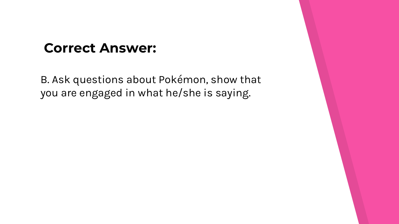#### **Correct Answer:**

B. Ask questions about Pokémon, show that you are engaged in what he/she is saying.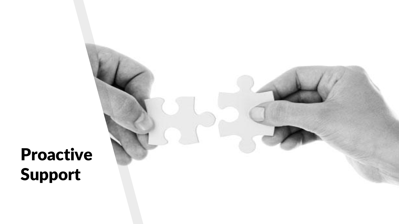Proactive Support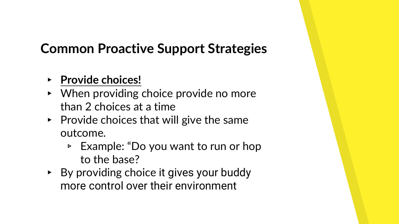## **Common Proactive Support Strategies**

- ▸ **Provide choices!**
- ▸ When providing choice provide no more than 2 choices at a time
- $\triangleright$  Provide choices that will give the same outcome.
	- ▹ Example: "Do you want to run or hop to the base?
- ▸ By providing choice it gives your buddy more control over their environment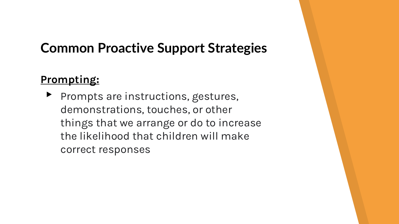#### **Common Proactive Support Strategies**

#### **Prompting:**

▶ Prompts are instructions, gestures, demonstrations, touches, or other things that we arrange or do to increase the likelihood that children will make correct responses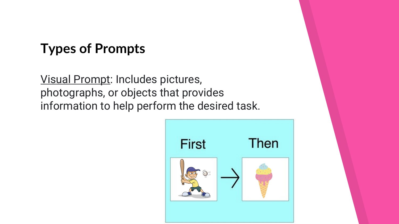#### **Types of Prompts**

Visual Prompt: Includes pictures, photographs, or objects that provides information to help perform the desired task.

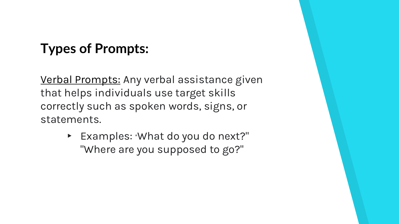## **Types of Prompts:**

Verbal Prompts: Any verbal assistance given that helps individuals use target skills correctly such as spoken words, signs, or statements.

> ▸ Examples: "What do you do next?" "Where are you supposed to go?"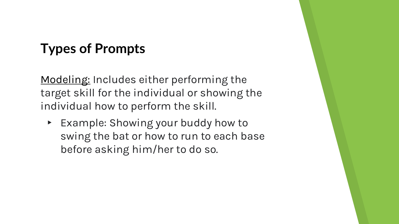#### **Types of Prompts**

<u>Modeling:</u> Includes either performing the target skill for the individual or showing the individual how to perform the skill.

▸ Example: Showing your buddy how to swing the bat or how to run to each base before asking him/her to do so.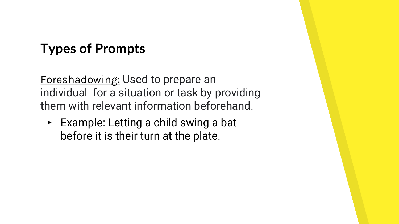## **Types of Prompts**

Foreshadowing: Used to prepare an individual for a situation or task by providing them with relevant information beforehand.

▸ Example: Letting a child swing a bat before it is their turn at the plate.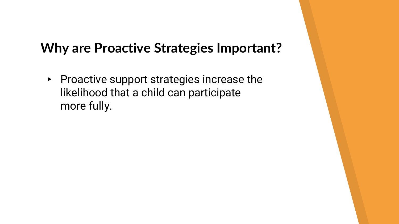#### **Why are Proactive Strategies Important?**

▸ Proactive support strategies increase the likelihood that a child can participate more fully.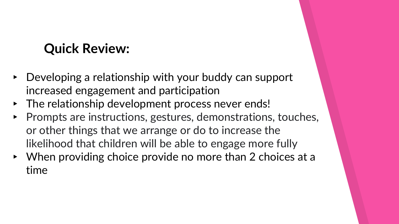## **Quick Review:**

- ▸ Developing a relationship with your buddy can support increased engagement and participation
- ▸ The relationship development process never ends!
- ▸ Prompts are instructions, gestures, demonstrations, touches, or other things that we arrange or do to increase the likelihood that children will be able to engage more fully
- ▸ When providing choice provide no more than 2 choices at a time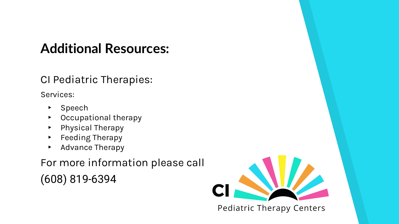## **Additional Resources:**

#### CI Pediatric Therapies:

Services:

- ▸ Speech
- ▸ Occupational therapy
- ▸ Physical Therapy
- ▸ Feeding Therapy
- ▸ Advance Therapy

For more information please call

(608) 819-6394